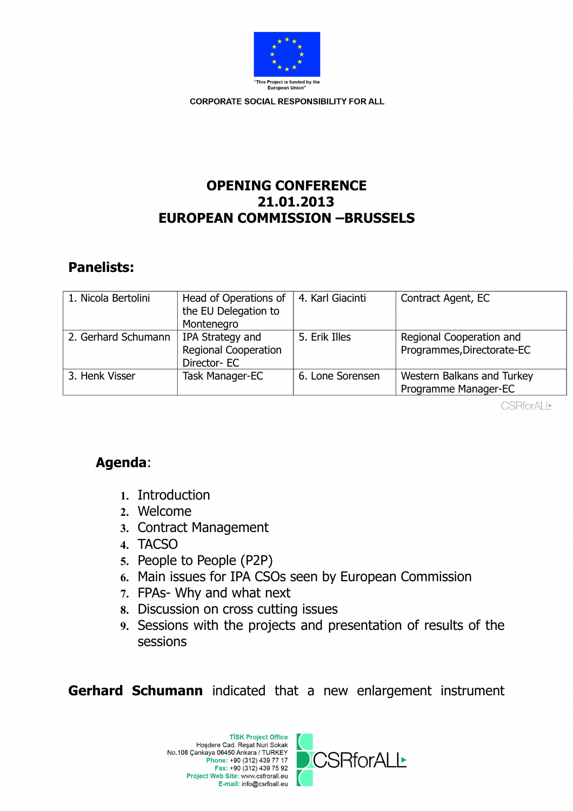

# **OPENING CONFERENCE 21.01.2013 EUROPEAN COMMISSION –BRUSSELS**

### **Panelists:**

| 1. Nicola Bertolini | Head of Operations of<br>the EU Delegation to | 4. Karl Giacinti | Contract Agent, EC         |
|---------------------|-----------------------------------------------|------------------|----------------------------|
|                     | Montenegro                                    |                  |                            |
| 2. Gerhard Schumann | IPA Strategy and                              | 5. Erik Illes    | Regional Cooperation and   |
|                     | <b>Regional Cooperation</b>                   |                  | Programmes, Directorate-EC |
|                     | Director-EC                                   |                  |                            |
| 3. Henk Visser      | Task Manager-EC                               | 6. Lone Sorensen | Western Balkans and Turkey |
|                     |                                               |                  | Programme Manager-EC       |

**CSRforALL** 

# **Agenda**:

- **1.** Introduction
- **2.** Welcome
- **3.** Contract Management
- **4.** TACSO
- **5.** People to People (P2P)
- **6.** Main issues for IPA CSOs seen by European Commission
- **7.** FPAs- Why and what next
- **8.** Discussion on cross cutting issues
- **9.** Sessions with the projects and presentation of results of the sessions

**Gerhard Schumann** indicated that a new enlargement instrument

TİSK Project Office<br>Hoşdere Cad. Reşat Nuri Sokak No.108 Çankaya 06450 Ankara / TURKEY Phone: +90 (312) 439 77 17 Fax: +90 (312) 439 75 92 Project Web Site: www.csfrorall.eu E-mail: info@csrfoall.eu

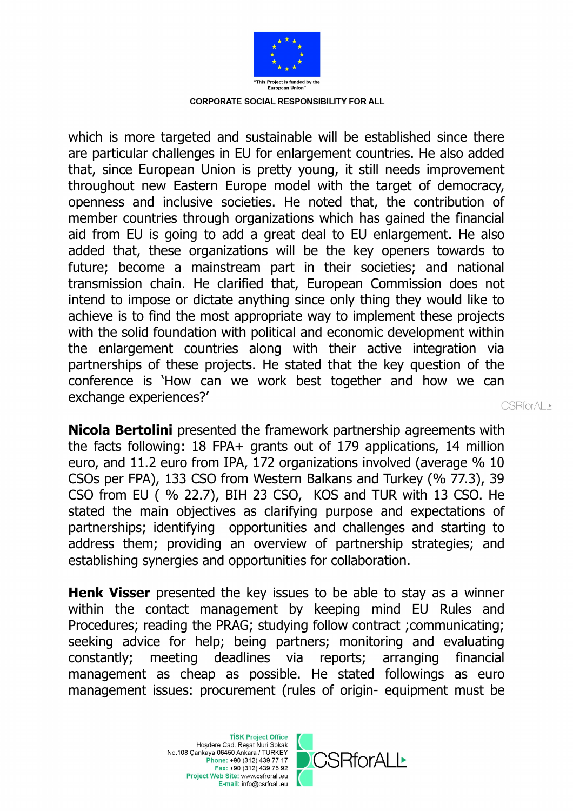

which is more targeted and sustainable will be established since there are particular challenges in EU for enlargement countries. He also added that, since European Union is pretty young, it still needs improvement throughout new Eastern Europe model with the target of democracy, openness and inclusive societies. He noted that, the contribution of member countries through organizations which has gained the financial aid from EU is going to add a great deal to EU enlargement. He also added that, these organizations will be the key openers towards to future; become a mainstream part in their societies; and national transmission chain. He clarified that, European Commission does not intend to impose or dictate anything since only thing they would like to achieve is to find the most appropriate way to implement these projects with the solid foundation with political and economic development within the enlargement countries along with their active integration via partnerships of these projects. He stated that the key question of the conference is 'How can we work best together and how we can exchange experiences?'

**Nicola Bertolini** presented the framework partnership agreements with the facts following: 18 FPA+ grants out of 179 applications, 14 million euro, and 11.2 euro from IPA, 172 organizations involved (average % 10 CSOs per FPA), 133 CSO from Western Balkans and Turkey (% 77.3), 39 CSO from EU ( % 22.7), BIH 23 CSO, KOS and TUR with 13 CSO. He stated the main objectives as clarifying purpose and expectations of partnerships; identifying opportunities and challenges and starting to address them; providing an overview of partnership strategies; and establishing synergies and opportunities for collaboration.

**Henk Visser** presented the key issues to be able to stay as a winner within the contact management by keeping mind EU Rules and Procedures; reading the PRAG; studying follow contract ;communicating; seeking advice for help; being partners; monitoring and evaluating constantly; meeting deadlines via reports; arranging financial management as cheap as possible. He stated followings as euro management issues: procurement (rules of origin- equipment must be

> **TİSK Project Office** Hoşdere Cad. Reşat Nuri Sokak No.108 Çankaya 06450 Ankara / TURKEY Phone: +90 (312) 439 77 17 Fax: +90 (312) 439 75 92 Project Web Site: www.csfrorall.eu E-mail: info@csrfoall.eu



CSRforALI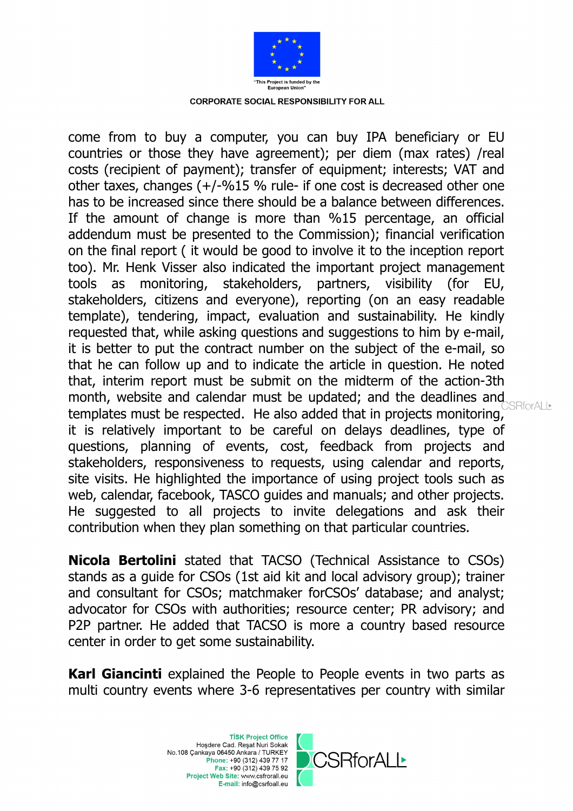

come from to buy a computer, you can buy IPA beneficiary or EU countries or those they have agreement); per diem (max rates) /real costs (recipient of payment); transfer of equipment; interests; VAT and other taxes, changes (+/-%15 % rule- if one cost is decreased other one has to be increased since there should be a balance between differences. If the amount of change is more than %15 percentage, an official addendum must be presented to the Commission); financial verification on the final report ( it would be good to involve it to the inception report too). Mr. Henk Visser also indicated the important project management tools as monitoring, stakeholders, partners, visibility (for EU, stakeholders, citizens and everyone), reporting (on an easy readable template), tendering, impact, evaluation and sustainability. He kindly requested that, while asking questions and suggestions to him by e-mail, it is better to put the contract number on the subject of the e-mail, so that he can follow up and to indicate the article in question. He noted that, interim report must be submit on the midterm of the action-3th month, website and calendar must be updated; and the deadlines and  $\epsilon_{\text{SSRforAll}}$ templates must be respected. He also added that in projects monitoring, it is relatively important to be careful on delays deadlines, type of questions, planning of events, cost, feedback from projects and stakeholders, responsiveness to requests, using calendar and reports, site visits. He highlighted the importance of using project tools such as web, calendar, facebook, TASCO guides and manuals; and other projects. He suggested to all projects to invite delegations and ask their contribution when they plan something on that particular countries.

**Nicola Bertolini** stated that TACSO (Technical Assistance to CSOs) stands as a guide for CSOs (1st aid kit and local advisory group); trainer and consultant for CSOs; matchmaker forCSOs' database; and analyst; advocator for CSOs with authorities; resource center; PR advisory; and P2P partner. He added that TACSO is more a country based resource center in order to get some sustainability.

**Karl Giancinti** explained the People to People events in two parts as multi country events where 3-6 representatives per country with similar

> **TİSK Project Office** Hoşdere Cad. Reşat Nuri Sokak No.108 Çankaya 06450 Ankara / TURKEY Phone: +90 (312) 439 77 17 Fax: +90 (312) 439 75 92 Project Web Site: www.csfrorall.eu E-mail: info@csrfoall.eu

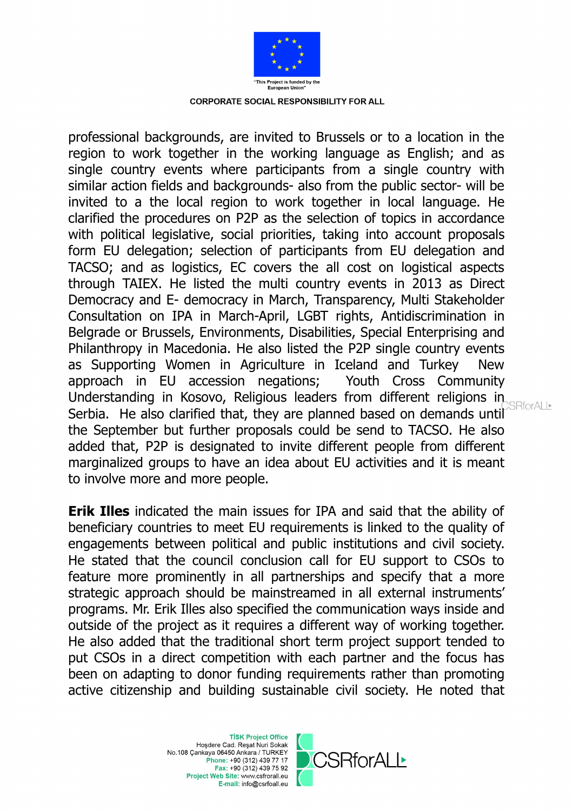

professional backgrounds, are invited to Brussels or to a location in the region to work together in the working language as English; and as single country events where participants from a single country with similar action fields and backgrounds- also from the public sector- will be invited to a the local region to work together in local language. He clarified the procedures on P2P as the selection of topics in accordance with political legislative, social priorities, taking into account proposals form EU delegation; selection of participants from EU delegation and TACSO; and as logistics, EC covers the all cost on logistical aspects through TAIEX. He listed the multi country events in 2013 as Direct Democracy and E- democracy in March, Transparency, Multi Stakeholder Consultation on IPA in March-April, LGBT rights, Antidiscrimination in Belgrade or Brussels, Environments, Disabilities, Special Enterprising and Philanthropy in Macedonia. He also listed the P2P single country events as Supporting Women in Agriculture in Iceland and Turkey New approach in EU accession negations; Youth Cross Community Understanding in Kosovo, Religious leaders from different religions in Serbia. He also clarified that, they are planned based on demands until the September but further proposals could be send to TACSO. He also added that, P2P is designated to invite different people from different marginalized groups to have an idea about EU activities and it is meant to involve more and more people.

**Erik Illes** indicated the main issues for IPA and said that the ability of beneficiary countries to meet EU requirements is linked to the quality of engagements between political and public institutions and civil society. He stated that the council conclusion call for EU support to CSOs to feature more prominently in all partnerships and specify that a more strategic approach should be mainstreamed in all external instruments' programs. Mr. Erik Illes also specified the communication ways inside and outside of the project as it requires a different way of working together. He also added that the traditional short term project support tended to put CSOs in a direct competition with each partner and the focus has been on adapting to donor funding requirements rather than promoting active citizenship and building sustainable civil society. He noted that

> **TİSK Project Office** Hoşdere Cad. Reşat Nuri Sokak No.108 Cankaya 06450 Ankara / TURKEY Phone: +90 (312) 439 77 17 Fax: +90 (312) 439 75 92 Project Web Site: www.csfrorall.eu E-mail: info@csrfoall.eu

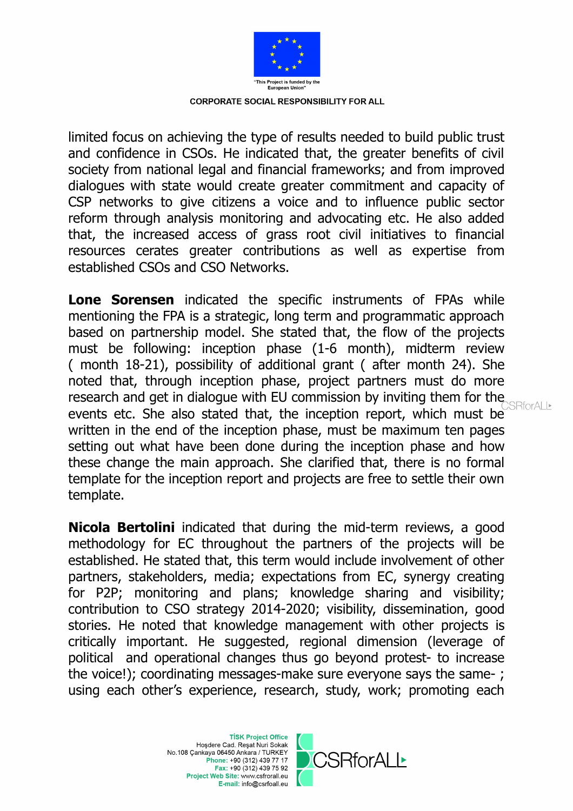

limited focus on achieving the type of results needed to build public trust and confidence in CSOs. He indicated that, the greater benefits of civil society from national legal and financial frameworks; and from improved dialogues with state would create greater commitment and capacity of CSP networks to give citizens a voice and to influence public sector reform through analysis monitoring and advocating etc. He also added that, the increased access of grass root civil initiatives to financial resources cerates greater contributions as well as expertise from established CSOs and CSO Networks.

**Lone Sorensen** indicated the specific instruments of FPAs while mentioning the FPA is a strategic, long term and programmatic approach based on partnership model. She stated that, the flow of the projects must be following: inception phase (1-6 month), midterm review ( month 18-21), possibility of additional grant ( after month 24). She noted that, through inception phase, project partners must do more research and get in dialogue with EU commission by inviting them for the events etc. She also stated that, the inception report, which must be written in the end of the inception phase, must be maximum ten pages setting out what have been done during the inception phase and how these change the main approach. She clarified that, there is no formal template for the inception report and projects are free to settle their own template.

**Nicola Bertolini** indicated that during the mid-term reviews, a good methodology for EC throughout the partners of the projects will be established. He stated that, this term would include involvement of other partners, stakeholders, media; expectations from EC, synergy creating for P2P; monitoring and plans; knowledge sharing and visibility; contribution to CSO strategy 2014-2020; visibility, dissemination, good stories. He noted that knowledge management with other projects is critically important. He suggested, regional dimension (leverage of political and operational changes thus go beyond protest- to increase the voice!); coordinating messages-make sure everyone says the same- ; using each other's experience, research, study, work; promoting each

> **TİSK Project Office** Hoşdere Cad. Reşat Nuri Sokak No.108 Çankaya 06450 Ankara / TURKEY Phone: +90 (312) 439 77 17 Fax: +90 (312) 439 75 92 Project Web Site: www.csfrorall.eu E-mail: info@csrfoall.eu

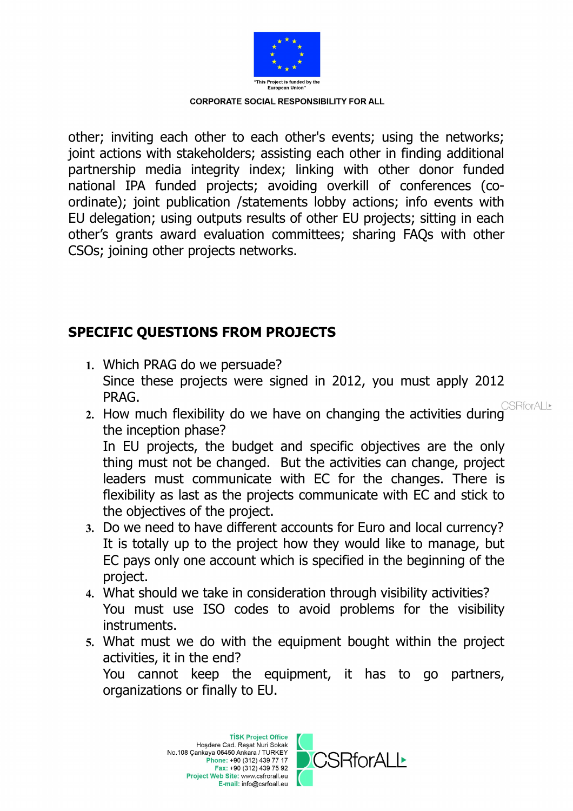

other; inviting each other to each other's events; using the networks; joint actions with stakeholders; assisting each other in finding additional partnership media integrity index; linking with other donor funded national IPA funded projects; avoiding overkill of conferences (coordinate); joint publication /statements lobby actions; info events with EU delegation; using outputs results of other EU projects; sitting in each other's grants award evaluation committees; sharing FAQs with other CSOs; joining other projects networks.

# **SPECIFIC QUESTIONS FROM PROJECTS**

the objectives of the project.

- **1.** Which PRAG do we persuade? Since these projects were signed in 2012, you must apply 2012 PRAG.
- **2.** How much flexibility do we have on changing the activities during the inception phase? In EU projects, the budget and specific objectives are the only thing must not be changed. But the activities can change, project leaders must communicate with EC for the changes. There is flexibility as last as the projects communicate with EC and stick to
- **3.** Do we need to have different accounts for Euro and local currency? It is totally up to the project how they would like to manage, but EC pays only one account which is specified in the beginning of the project.
- **4.** What should we take in consideration through visibility activities? You must use ISO codes to avoid problems for the visibility instruments.
- **5.** What must we do with the equipment bought within the project activities, it in the end?

You cannot keep the equipment, it has to go partners, organizations or finally to EU.